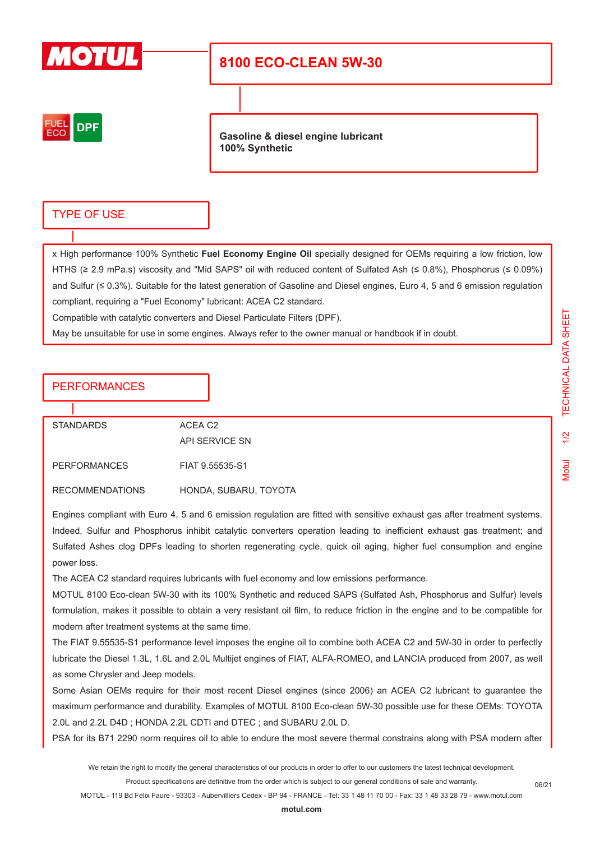

# **8100 ECO-CLEAN 5W-30**



**Gasoline & diesel engine lubricant 100% Synthetic**

### TYPE OF USE

x High performance 100% Synthetic **Fuel Economy Engine Oil** specially designed for OEMs requiring a low friction, low HTHS (≥ 2.9 mPa.s) viscosity and "Mid SAPS" oil with reduced content of Sulfated Ash (≤ 0.8%), Phosphorus (≤ 0.09%) and Sulfur ( $\leq 0.3\%$ ). Suitable for the latest generation of Gasoline and Diesel engines, Euro 4, 5 and 6 emission regulation compliant, requiring a "Fuel Economy" lubricant: ACEA C2 standard.

Compatible with catalytic converters and Diesel Particulate Filters (DPF).

May be unsuitable for use in some engines. Always refer to the owner manual or handbook if in doubt.

### PERFORMANCES

| <b>STANDARDS</b> | ACFA C <sub>2</sub> |
|------------------|---------------------|
|                  | API SERVICE SN      |
| PERFORMANCES     | FIAT 9.55535-S1     |

RECOMMENDATIONS HONDA, SUBARU, TOYOTA

Engines compliant with Euro 4, 5 and 6 emission regulation are fitted with sensitive exhaust gas after treatment systems. Indeed, Sulfur and Phosphorus inhibit catalytic converters operation leading to inefficient exhaust gas treatment; and Sulfated Ashes clog DPFs leading to shorten regenerating cycle, quick oil aging, higher fuel consumption and engine power loss.

The ACEA C2 standard requires lubricants with fuel economy and low emissions performance.

MOTUL 8100 Eco-clean 5W-30 with its 100% Synthetic and reduced SAPS (Sulfated Ash, Phosphorus and Sulfur) levels formulation, makes it possible to obtain a very resistant oil film, to reduce friction in the engine and to be compatible for modern after treatment systems at the same time.

The FIAT 9.55535-S1 performance level imposes the engine oil to combine both ACEA C2 and 5W-30 in order to perfectly lubricate the Diesel 1.3L, 1.6L and 2.0L Multijet engines of FIAT, ALFA-ROMEO, and LANCIA produced from 2007, as well as some Chrysler and Jeep models.

Some Asian OEMs require for their most recent Diesel engines (since 2006) an ACEA C2 lubricant to guarantee the maximum performance and durability. Examples of MOTUL 8100 Eco-clean 5W-30 possible use for these OEMs: TOYOTA 2.0L and 2.2L D4D ; HONDA 2.2L CDTI and DTEC ; and SUBARU 2.0L D.

PSA for its B71 2290 norm requires oil to able to endure the most severe thermal constrains along with PSA modern after

We retain the right to modify the general characteristics of our products in order to offer to our customers the latest technical development. Product specifications are definitive from the order which is subject to our general conditions of sale and warranty.

MOTUL - 119 Bd Félix Faure - 93303 - Aubervilliers Cedex - BP 94 - FRANCE - Tel: 33 1 48 11 70 00 - Fax: 33 1 48 33 28 79 - www.motul.com

06/21